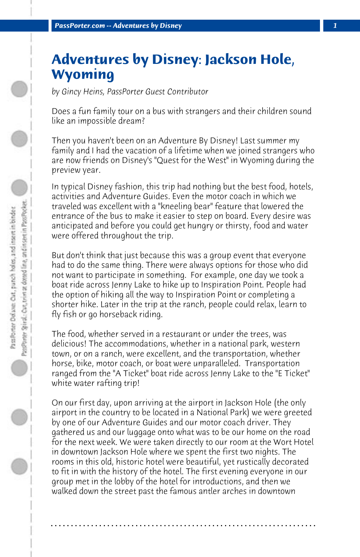## **Adventures by Disney: Jackson Hole, Wyoming**

*by Gincy Heins, PassPorter Guest Contributor*

Does a fun family tour on a bus with strangers and their children sound like an impossible dream?

Then you haven't been on an Adventure By Disney! Last summer my family and I had the vacation of a lifetime when we joined strangers who are now friends on Disney's "Quest for the West" in Wyoming during the preview year.

In typical Disney fashion, this trip had nothing but the best food, hotels, activities and Adventure Guides. Even the motor coach in which we traveled was excellent with a "kneeling bear" feature that lowered the entrance of the bus to make it easier to step on board. Every desire was anticipated and before you could get hungry or thirsty, food and water were offered throughout the trip.

But don't think that just because this was a group event that everyone had to do the same thing. There were always options for those who did not want to participate in something. For example, one day we took a boat ride across Jenny Lake to hike up to Inspiration Point. People had the option of hiking all the way to Inspiration Point or completing a shorter hike. Later in the trip at the ranch, people could relax, learn to fly fish or go horseback riding.

The food, whether served in a restaurant or under the trees, was delicious! The accommodations, whether in a national park, western town, or on a ranch, were excellent, and the transportation, whether horse, bike, motor coach, or boat were unparalleled. Transportation ranged from the "A Ticket" boat ride across Jenny Lake to the "E Ticket" white water rafting trip!

On our first day, upon arriving at the airport in Jackson Hole (the only airport in the country to be located in a National Park) we were greeted by one of our Adventure Guides and our motor coach driver. They gathered us and our luggage onto what was to be our home on the road for the next week. We were taken directly to our room at the Wort Hotel in downtown Jackson Hole where we spent the first two nights. The rooms in this old, historic hotel were beautiful, yet rustically decorated to fit in with the history of the hotel. The first evening everyone in our group met in the lobby of the hotel for introductions, and then we walked down the street past the famous antler arches in downtown

**. . . . . . . . . . . . . . . . . . . . . . . . . . . . . . . . . . . . . . . . . . . . . . . . . . . . . . . . . . . . . . . . . .**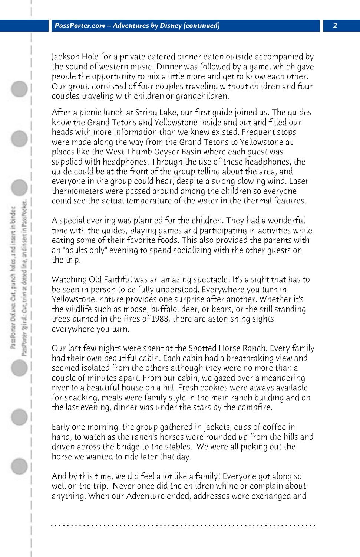Jackson Hole for a private catered dinner eaten outside accompanied by the sound of western music. Dinner was followed by a game, which gave people the opportunity to mix a little more and get to know each other. Our group consisted of four couples traveling without children and four couples traveling with children or grandchildren.

After a picnic lunch at String Lake, our first guide joined us. The guides know the Grand Tetons and Yellowstone inside and out and filled our heads with more information than we knew existed. Frequent stops were made along the way from the Grand Tetons to Yellowstone at places like the West Thumb Geyser Basin where each guest was supplied with headphones. Through the use of these headphones, the guide could be at the front of the group telling about the area, and everyone in the group could hear, despite a strong blowing wind. Laser thermometers were passed around among the children so everyone could see the actual temperature of the water in the thermal features.

A special evening was planned for the children. They had a wonderful time with the guides, playing games and participating in activities while eating some of their favorite foods. This also provided the parents with an "adults only" evening to spend socializing with the other guests on the trip.

Watching Old Faithful was an amazing spectacle! It's a sight that has to be seen in person to be fully understood. Everywhere you turn in Yellowstone, nature provides one surprise after another. Whether it's the wildlife such as moose, buffalo, deer, or bears, or the still standing trees burned in the fires of 1988, there are astonishing sights everywhere you turn.

Our last few nights were spent at the Spotted Horse Ranch. Every family had their own beautiful cabin. Each cabin had a breathtaking view and seemed isolated from the others although they were no more than a couple of minutes apart. From our cabin, we gazed over a meandering river to a beautiful house on a hill. Fresh cookies were always available for snacking, meals were family style in the main ranch building and on the last evening, dinner was under the stars by the campfire.

Early one morning, the group gathered in jackets, cups of coffee in hand, to watch as the ranch's horses were rounded up from the hills and driven across the bridge to the stables. We were all picking out the horse we wanted to ride later that day.

And by this time, we did feel a lot like a family! Everyone got along so well on the trip. Never once did the children whine or complain about anything. When our Adventure ended, addresses were exchanged and

**. . . . . . . . . . . . . . . . . . . . . . . . . . . . . . . . . . . . . . . . . . . . . . . . . . . . . . . . . . . . . . . . . .**